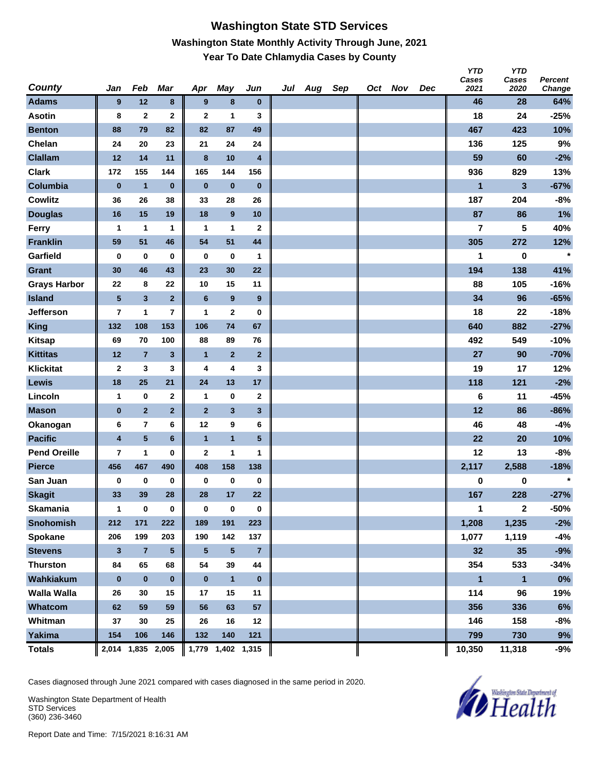### **Washington State STD Services Washington State Monthly Activity Through June, 2021 Year To Date Chlamydia Cases by County**

| <b>County</b>       | Jan                     | Feb                     | Mar             | Apr          | May               | Jun                     | Jul Aug | Sep | Oct Nov | Dec | <b>YTD</b><br>Cases<br>2021 | <b>YTD</b><br>Cases<br>2020 | <b>Percent</b><br>Change |
|---------------------|-------------------------|-------------------------|-----------------|--------------|-------------------|-------------------------|---------|-----|---------|-----|-----------------------------|-----------------------------|--------------------------|
| <b>Adams</b>        | 9                       | 12                      | 8               | 9            | 8                 | $\bf{0}$                |         |     |         |     | 46                          | 28                          | 64%                      |
| <b>Asotin</b>       | 8                       | $\mathbf{2}$            | $\mathbf 2$     | $\mathbf{2}$ | 1                 | 3                       |         |     |         |     | 18                          | 24                          | $-25%$                   |
| <b>Benton</b>       | 88                      | 79                      | 82              | 82           | 87                | 49                      |         |     |         |     | 467                         | 423                         | 10%                      |
| Chelan              | 24                      | 20                      | 23              | 21           | 24                | 24                      |         |     |         |     | 136                         | 125                         | 9%                       |
| <b>Clallam</b>      | 12                      | 14                      | 11              | $\bf{8}$     | 10                | $\overline{\mathbf{4}}$ |         |     |         |     | 59                          | 60                          | $-2%$                    |
| <b>Clark</b>        | 172                     | 155                     | 144             | 165          | 144               | 156                     |         |     |         |     | 936                         | 829                         | 13%                      |
| Columbia            | $\bf{0}$                | $\mathbf{1}$            | $\bf{0}$        | $\bf{0}$     | $\bf{0}$          | $\pmb{0}$               |         |     |         |     | 1                           | 3                           | $-67%$                   |
| <b>Cowlitz</b>      | 36                      | 26                      | 38              | 33           | 28                | 26                      |         |     |         |     | 187                         | 204                         | $-8%$                    |
| <b>Douglas</b>      | 16                      | 15                      | 19              | 18           | 9                 | 10                      |         |     |         |     | 87                          | 86                          | 1%                       |
| Ferry               | 1                       | 1                       | 1               | 1            | $\mathbf{1}$      | $\mathbf{2}$            |         |     |         |     | $\overline{7}$              | 5                           | 40%                      |
| <b>Franklin</b>     | 59                      | 51                      | 46              | 54           | 51                | 44                      |         |     |         |     | 305                         | 272                         | 12%                      |
| Garfield            | $\bf{0}$                | $\bf{0}$                | 0               | $\bf{0}$     | 0                 | 1                       |         |     |         |     | 1                           | $\bf{0}$                    | $\star$                  |
| Grant               | 30                      | 46                      | 43              | 23           | 30                | 22                      |         |     |         |     | 194                         | 138                         | 41%                      |
| <b>Grays Harbor</b> | 22                      | 8                       | 22              | 10           | 15                | 11                      |         |     |         |     | 88                          | 105                         | $-16%$                   |
| <b>Island</b>       | ${\bf 5}$               | $\mathbf{3}$            | $\overline{2}$  | 6            | $\boldsymbol{9}$  | $\boldsymbol{9}$        |         |     |         |     | 34                          | 96                          | $-65%$                   |
| Jefferson           | $\overline{\mathbf{r}}$ | 1                       | 7               | 1            | $\mathbf 2$       | 0                       |         |     |         |     | 18                          | 22                          | $-18%$                   |
| <b>King</b>         | 132                     | 108                     | 153             | 106          | 74                | 67                      |         |     |         |     | 640                         | 882                         | $-27%$                   |
| <b>Kitsap</b>       | 69                      | 70                      | 100             | 88           | 89                | 76                      |         |     |         |     | 492                         | 549                         | $-10%$                   |
| <b>Kittitas</b>     | 12                      | $\overline{7}$          | $\mathbf{3}$    | $\mathbf{1}$ | $\overline{2}$    | $\mathbf{2}$            |         |     |         |     | 27                          | 90                          | $-70%$                   |
| <b>Klickitat</b>    | $\mathbf{2}$            | 3                       | 3               | 4            | 4                 | 3                       |         |     |         |     | 19                          | 17                          | 12%                      |
| Lewis               | 18                      | 25                      | 21              | 24           | 13                | 17                      |         |     |         |     | 118                         | 121                         | $-2%$                    |
| Lincoln             | 1                       | $\bf{0}$                | $\mathbf 2$     | $\mathbf{1}$ | 0                 | $\mathbf 2$             |         |     |         |     | 6                           | 11                          | $-45%$                   |
| <b>Mason</b>        | $\pmb{0}$               | $\overline{2}$          | $\mathbf{2}$    | $\mathbf{2}$ | $\mathbf{3}$      | $\mathbf{3}$            |         |     |         |     | 12                          | 86                          | $-86%$                   |
| Okanogan            | 6                       | $\overline{\mathbf{r}}$ | 6               | 12           | 9                 | 6                       |         |     |         |     | 46                          | 48                          | $-4%$                    |
| <b>Pacific</b>      | $\overline{\mathbf{4}}$ | $\overline{\mathbf{5}}$ | $6\phantom{1}$  | $\mathbf{1}$ | $\mathbf{1}$      | $5\phantom{.0}$         |         |     |         |     | 22                          | 20                          | 10%                      |
| <b>Pend Oreille</b> | 7                       | 1                       | 0               | $\mathbf{2}$ | 1                 | 1                       |         |     |         |     | 12                          | 13                          | $-8%$                    |
| <b>Pierce</b>       | 456                     | 467                     | 490             | 408          | 158               | 138                     |         |     |         |     | 2,117                       | 2,588                       | $-18%$                   |
| San Juan            | 0                       | $\bf{0}$                | $\bf{0}$        | 0            | 0                 | $\bf{0}$                |         |     |         |     | 0                           | 0                           | $\star$                  |
| <b>Skagit</b>       | 33                      | 39                      | 28              | 28           | 17                | 22                      |         |     |         |     | 167                         | 228                         | $-27%$                   |
| <b>Skamania</b>     | $\mathbf{1}$            | $\mathbf 0$             | $\pmb{0}$       | $\mathbf 0$  | $\bf{0}$          | $\boldsymbol{0}$        |         |     |         |     | 1                           | $\mathbf{2}$                | -50%                     |
| <b>Snohomish</b>    | 212                     | 171                     | 222             | 189          | 191               | 223                     |         |     |         |     | 1,208                       | 1,235                       | $-2%$                    |
| Spokane             | 206                     | 199                     | 203             | 190          | 142               | 137                     |         |     |         |     | 1,077                       | 1,119                       | $-4%$                    |
| <b>Stevens</b>      | 3                       | $\overline{7}$          | $5\phantom{.0}$ | $\sqrt{5}$   | $\sqrt{5}$        | $\overline{7}$          |         |     |         |     | 32                          | 35                          | $-9%$                    |
| <b>Thurston</b>     | 84                      | 65                      | 68              | 54           | 39                | 44                      |         |     |         |     | 354                         | 533                         | $-34%$                   |
| Wahkiakum           | $\bf{0}$                | $\pmb{0}$               | $\bf{0}$        | $\bf{0}$     | $\mathbf{1}$      | $\bf{0}$                |         |     |         |     | $\mathbf{1}$                | $\mathbf{1}$                | $0\%$                    |
| <b>Walla Walla</b>  | 26                      | 30                      | 15              | 17           | 15                | 11                      |         |     |         |     | 114                         | 96                          | 19%                      |
| Whatcom             | 62                      | 59                      | 59              | 56           | 63                | 57                      |         |     |         |     | 356                         | 336                         | 6%                       |
| Whitman             | 37                      | 30                      | 25              | 26           | 16                | 12                      |         |     |         |     | 146                         | 158                         | -8%                      |
| <b>Yakima</b>       | 154                     | 106                     | 146             | 132          | 140               | 121                     |         |     |         |     | 799                         | 730                         | $9%$                     |
| <b>Totals</b>       |                         | 2,014 1,835 2,005       |                 |              | 1,779 1,402 1,315 |                         |         |     |         |     | 10,350                      | 11,318                      | -9%                      |

Cases diagnosed through June 2021 compared with cases diagnosed in the same period in 2020.

Washington State Department of Health STD Services (360) 236-3460

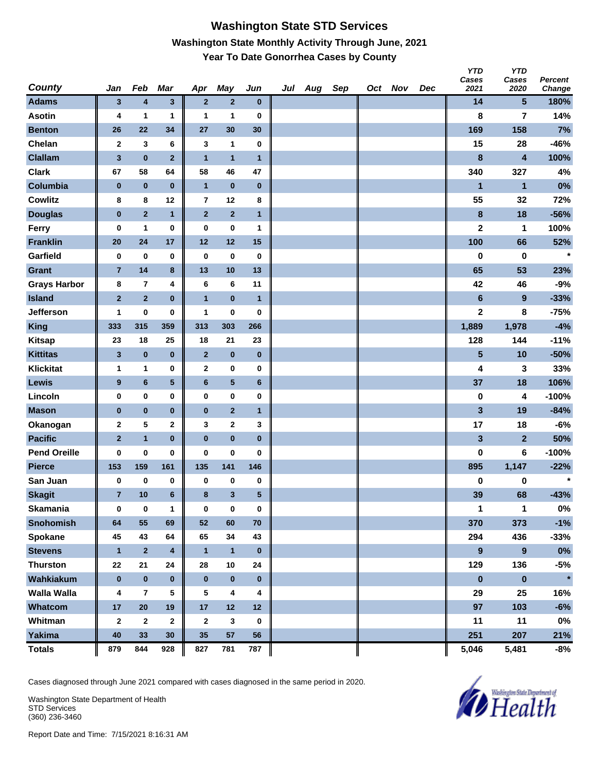## **Washington State STD Services Washington State Monthly Activity Through June, 2021 Year To Date Gonorrhea Cases by County**

| <b>County</b>       | Jan            | Feb            | Mar             | Apr                     | May            | Jun          | Jul Aug | Sep | Oct Nov | Dec | <b>YTD</b><br>Cases<br>2021 | <b>YTD</b><br>Cases<br>2020 | Percent<br>Change |
|---------------------|----------------|----------------|-----------------|-------------------------|----------------|--------------|---------|-----|---------|-----|-----------------------------|-----------------------------|-------------------|
| <b>Adams</b>        | 3              | 4              | $\mathbf{3}$    | $\overline{2}$          | $\mathbf{2}$   | $\bf{0}$     |         |     |         |     | 14                          | 5                           | 180%              |
| <b>Asotin</b>       | 4              | 1              | 1               | 1                       | 1              | $\bf{0}$     |         |     |         |     | 8                           | 7                           | 14%               |
| <b>Benton</b>       | 26             | 22             | 34              | 27                      | 30             | 30           |         |     |         |     | 169                         | 158                         | 7%                |
| Chelan              | $\mathbf{2}$   | 3              | 6               | 3                       | 1              | $\mathbf 0$  |         |     |         |     | 15                          | 28                          | $-46%$            |
| <b>Clallam</b>      | $\mathbf{3}$   | $\pmb{0}$      | $\overline{2}$  | $\overline{1}$          | $\mathbf{1}$   | $\mathbf{1}$ |         |     |         |     | 8                           | $\overline{\mathbf{4}}$     | 100%              |
| <b>Clark</b>        | 67             | 58             | 64              | 58                      | 46             | 47           |         |     |         |     | 340                         | 327                         | 4%                |
| Columbia            | $\pmb{0}$      | $\pmb{0}$      | $\bf{0}$        | $\mathbf{1}$            | $\pmb{0}$      | $\pmb{0}$    |         |     |         |     | $\mathbf{1}$                | $\overline{1}$              | 0%                |
| <b>Cowlitz</b>      | 8              | 8              | 12              | $\overline{7}$          | 12             | 8            |         |     |         |     | 55                          | 32                          | 72%               |
| <b>Douglas</b>      | $\pmb{0}$      | $\overline{2}$ | $\mathbf{1}$    | $\mathbf{2}$            | $\overline{2}$ | $\mathbf{1}$ |         |     |         |     | $\bf8$                      | 18                          | $-56%$            |
| Ferry               | 0              | $\mathbf{1}$   | 0               | $\pmb{0}$               | $\bf{0}$       | 1            |         |     |         |     | $\mathbf 2$                 | 1                           | 100%              |
| <b>Franklin</b>     | 20             | 24             | 17              | 12                      | 12             | 15           |         |     |         |     | 100                         | 66                          | 52%               |
| Garfield            | 0              | $\bf{0}$       | 0               | $\bf{0}$                | $\bf{0}$       | $\bf{0}$     |         |     |         |     | $\bf{0}$                    | $\bf{0}$                    | $\star$           |
| <b>Grant</b>        | $\overline{7}$ | 14             | 8               | 13                      | 10             | 13           |         |     |         |     | 65                          | 53                          | 23%               |
| <b>Grays Harbor</b> | 8              | $\overline{7}$ | 4               | 6                       | 6              | 11           |         |     |         |     | 42                          | 46                          | $-9%$             |
| <b>Island</b>       | $\mathbf 2$    | $\overline{2}$ | $\bf{0}$        | $\overline{1}$          | $\pmb{0}$      | $\mathbf{1}$ |         |     |         |     | $\bf 6$                     | $\boldsymbol{9}$            | $-33%$            |
| Jefferson           | 1              | $\bf{0}$       | 0               | 1                       | 0              | 0            |         |     |         |     | $\mathbf 2$                 | 8                           | $-75%$            |
| King                | 333            | 315            | 359             | 313                     | 303            | 266          |         |     |         |     | 1,889                       | 1,978                       | $-4%$             |
| <b>Kitsap</b>       | 23             | 18             | 25              | 18                      | 21             | 23           |         |     |         |     | 128                         | 144                         | $-11%$            |
| <b>Kittitas</b>     | 3              | $\pmb{0}$      | $\bf{0}$        | $\mathbf{2}$            | $\pmb{0}$      | $\bf{0}$     |         |     |         |     | $\overline{\mathbf{5}}$     | 10                          | $-50%$            |
| <b>Klickitat</b>    | 1              | 1              | 0               | $\mathbf{2}$            | 0              | 0            |         |     |         |     | 4                           | 3                           | 33%               |
| Lewis               | 9              | $\bf 6$        | ${\bf 5}$       | $\boldsymbol{6}$        | ${\bf 5}$      | 6            |         |     |         |     | 37                          | 18                          | 106%              |
| Lincoln             | 0              | 0              | 0               | $\bf{0}$                | 0              | 0            |         |     |         |     | $\pmb{0}$                   | 4                           | $-100%$           |
| <b>Mason</b>        | $\pmb{0}$      | $\pmb{0}$      | $\pmb{0}$       | $\pmb{0}$               | $\mathbf{2}$   | $\mathbf{1}$ |         |     |         |     | 3                           | 19                          | $-84%$            |
| Okanogan            | $\mathbf{2}$   | 5              | $\mathbf 2$     | 3                       | $\bf{2}$       | 3            |         |     |         |     | 17                          | 18                          | $-6%$             |
| <b>Pacific</b>      | $\overline{2}$ | $\mathbf{1}$   | $\bf{0}$        | $\pmb{0}$               | $\pmb{0}$      | $\bf{0}$     |         |     |         |     | 3                           | $\overline{2}$              | 50%               |
| <b>Pend Oreille</b> | 0              | $\bf{0}$       | 0               | $\bf{0}$                | 0              | 0            |         |     |         |     | 0                           | 6                           | $-100%$           |
| <b>Pierce</b>       | 153            | 159            | 161             | 135                     | 141            | 146          |         |     |         |     | 895                         | 1,147                       | $-22%$            |
| San Juan            | 0              | $\pmb{0}$      | 0               | 0                       | 0              | $\bf{0}$     |         |     |         |     | 0                           | 0                           | $\star$           |
| <b>Skagit</b>       | $\overline{7}$ | 10             | $6\phantom{1}6$ | 8                       | $\mathbf{3}$   | 5            |         |     |         |     | 39                          | 68                          | $-43%$            |
| <b>Skamania</b>     | $\bf{0}$       | $\mathbf 0$    | $\mathbf{1}$    | $\bf{0}$                | $\bf{0}$       | $\bf{0}$     |         |     |         |     | 1                           | $\mathbf{1}$                | $0\%$             |
| <b>Snohomish</b>    | 64             | 55             | 69              | 52                      | 60             | 70           |         |     |         |     | 370                         | 373                         | $-1%$             |
| Spokane             | 45             | 43             | 64              | 65                      | 34             | 43           |         |     |         |     | 294                         | 436                         | $-33%$            |
| <b>Stevens</b>      | $\mathbf{1}$   | $\mathbf 2$    | 4               | $\mathbf{1}$            | $\mathbf{1}$   | $\pmb{0}$    |         |     |         |     | 9                           | $\boldsymbol{9}$            | $0\%$             |
| <b>Thurston</b>     | 22             | 21             | 24              | 28                      | 10             | 24           |         |     |         |     | 129                         | 136                         | $-5%$             |
| Wahkiakum           | $\bf{0}$       | $\pmb{0}$      | $\pmb{0}$       | $\mathbf 0$             | $\pmb{0}$      | $\bf{0}$     |         |     |         |     | $\pmb{0}$                   | $\pmb{0}$                   | $\star$           |
| <b>Walla Walla</b>  | 4              | $\overline{7}$ | 5               | 5                       | 4              | 4            |         |     |         |     | 29                          | 25                          | 16%               |
| Whatcom             | 17             | ${\bf 20}$     | 19              | 17                      | 12             | 12           |         |     |         |     | 97                          | 103                         | $-6%$             |
| Whitman             | $\mathbf{2}$   | $\mathbf{2}$   | $\mathbf{2}$    | $\overline{\mathbf{2}}$ | 3              | $\bf{0}$     |         |     |         |     | 11                          | 11                          | $0\%$             |
| <b>Yakima</b>       | 40             | 33             | 30              | 35                      | ${\bf 57}$     | 56           |         |     |         |     | 251                         | 207                         | 21%               |
| <b>Totals</b>       | 879            | 844            | 928             | 827                     | 781            | 787          |         |     |         |     | 5,046                       | 5,481                       | $-8%$             |

Cases diagnosed through June 2021 compared with cases diagnosed in the same period in 2020.

Washington State Department of Health STD Services (360) 236-3460

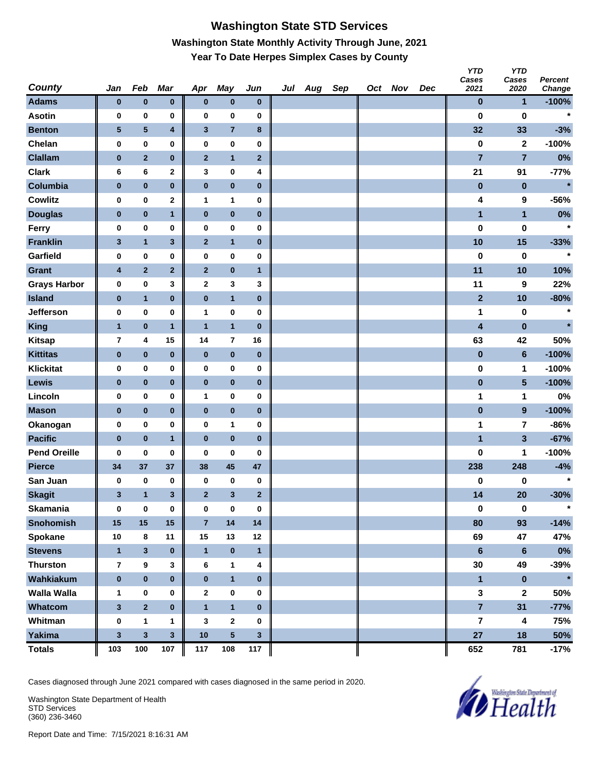# **Washington State STD Services Washington State Monthly Activity Through June, 2021 Year To Date Herpes Simplex Cases by County**

| <b>County</b>       | Jan            | Feb              | Mar                     | Apr                     | May                     | Jun            | Jul Aug | Sep | Oct Nov | Dec | <b>YTD</b><br>Cases<br>2021 | <b>YTD</b><br>Cases<br>2020 | Percent<br>Change |
|---------------------|----------------|------------------|-------------------------|-------------------------|-------------------------|----------------|---------|-----|---------|-----|-----------------------------|-----------------------------|-------------------|
| <b>Adams</b>        | $\bf{0}$       | $\pmb{0}$        | $\pmb{0}$               | $\bf{0}$                | $\pmb{0}$               | $\bf{0}$       |         |     |         |     | $\pmb{0}$                   | $\mathbf 1$                 | $-100%$           |
| <b>Asotin</b>       | 0              | 0                | 0                       | $\bf{0}$                | 0                       | 0              |         |     |         |     | $\bf{0}$                    | $\bf{0}$                    | $\star$           |
| <b>Benton</b>       | 5              | ${\bf 5}$        | $\overline{\mathbf{4}}$ | $\mathbf{3}$            | $\overline{7}$          | 8              |         |     |         |     | 32                          | 33                          | $-3%$             |
| Chelan              | 0              | $\pmb{0}$        | 0                       | $\pmb{0}$               | 0                       | 0              |         |     |         |     | $\pmb{0}$                   | $\mathbf{2}$                | $-100%$           |
| <b>Clallam</b>      | $\pmb{0}$      | $\mathbf 2$      | $\pmb{0}$               | $\mathbf{2}$            | $\mathbf{1}$            | $\mathbf{2}$   |         |     |         |     | $\overline{7}$              | $\overline{7}$              | $0\%$             |
| <b>Clark</b>        | 6              | 6                | $\mathbf 2$             | 3                       | 0                       | 4              |         |     |         |     | 21                          | 91                          | $-77%$            |
| Columbia            | $\pmb{0}$      | $\pmb{0}$        | $\pmb{0}$               | $\pmb{0}$               | $\pmb{0}$               | $\pmb{0}$      |         |     |         |     | $\pmb{0}$                   | $\pmb{0}$                   | $\star$           |
| <b>Cowlitz</b>      | 0              | $\bf{0}$         | $\mathbf 2$             | $\mathbf{1}$            | 1                       | 0              |         |     |         |     | 4                           | 9                           | $-56%$            |
| <b>Douglas</b>      | $\bf{0}$       | $\bf{0}$         | $\mathbf{1}$            | $\pmb{0}$               | $\pmb{0}$               | $\bf{0}$       |         |     |         |     | $\mathbf{1}$                | $\mathbf{1}$                | 0%                |
| Ferry               | 0              | $\pmb{0}$        | 0                       | $\bf{0}$                | 0                       | 0              |         |     |         |     | 0                           | 0                           | $\star$           |
| <b>Franklin</b>     | 3              | $\mathbf{1}$     | $\mathbf{3}$            | $\mathbf{2}$            | $\mathbf{1}$            | $\bf{0}$       |         |     |         |     | 10                          | 15                          | $-33%$            |
| Garfield            | 0              | $\pmb{0}$        | 0                       | 0                       | 0                       | 0              |         |     |         |     | $\bf{0}$                    | $\bf{0}$                    | $\star$           |
| <b>Grant</b>        | 4              | $\mathbf 2$      | $\mathbf{2}$            | $\mathbf{2}$            | $\pmb{0}$               | $\mathbf{1}$   |         |     |         |     | 11                          | 10                          | 10%               |
| <b>Grays Harbor</b> | $\pmb{0}$      | $\pmb{0}$        | 3                       | $\boldsymbol{2}$        | 3                       | 3              |         |     |         |     | 11                          | 9                           | 22%               |
| <b>Island</b>       | $\pmb{0}$      | $\mathbf{1}$     | $\pmb{0}$               | $\pmb{0}$               | $\mathbf{1}$            | $\bf{0}$       |         |     |         |     | $\mathbf{2}$                | 10                          | $-80%$            |
| Jefferson           | 0              | 0                | 0                       | $\mathbf{1}$            | 0                       | 0              |         |     |         |     | 1                           | 0                           | $\star$           |
| King                | $\overline{1}$ | $\pmb{0}$        | $\mathbf{1}$            | $\overline{1}$          | $\mathbf{1}$            | $\pmb{0}$      |         |     |         |     | $\overline{\mathbf{4}}$     | $\pmb{0}$                   | $\star$           |
| <b>Kitsap</b>       | 7              | 4                | 15                      | 14                      | $\overline{\mathbf{r}}$ | 16             |         |     |         |     | 63                          | 42                          | 50%               |
| <b>Kittitas</b>     | $\pmb{0}$      | $\bf{0}$         | $\bf{0}$                | $\bf{0}$                | $\pmb{0}$               | $\bf{0}$       |         |     |         |     | $\pmb{0}$                   | $6\phantom{1}$              | $-100%$           |
| <b>Klickitat</b>    | $\mathbf 0$    | $\pmb{0}$        | 0                       | $\bf{0}$                | 0                       | 0              |         |     |         |     | $\pmb{0}$                   | 1                           | $-100%$           |
| Lewis               | $\bf{0}$       | $\pmb{0}$        | $\pmb{0}$               | $\bf{0}$                | $\pmb{0}$               | $\bf{0}$       |         |     |         |     | $\pmb{0}$                   | $5\phantom{.0}$             | $-100%$           |
| Lincoln             | 0              | 0                | 0                       | $\mathbf{1}$            | 0                       | 0              |         |     |         |     | 1                           | 1                           | 0%                |
| <b>Mason</b>        | $\pmb{0}$      | $\pmb{0}$        | $\pmb{0}$               | $\pmb{0}$               | $\pmb{0}$               | 0              |         |     |         |     | $\pmb{0}$                   | $\overline{9}$              | $-100%$           |
| Okanogan            | 0              | $\pmb{0}$        | 0                       | $\bf{0}$                | 1                       | 0              |         |     |         |     | 1                           | $\overline{\mathbf{r}}$     | $-86%$            |
| <b>Pacific</b>      | $\pmb{0}$      | $\pmb{0}$        | $\mathbf{1}$            | $\pmb{0}$               | $\pmb{0}$               | $\bf{0}$       |         |     |         |     | $\mathbf{1}$                | $\mathbf{3}$                | $-67%$            |
| <b>Pend Oreille</b> | 0              | $\bf{0}$         | 0                       | 0                       | 0                       | 0              |         |     |         |     | 0                           | 1                           | $-100%$           |
| <b>Pierce</b>       | 34             | 37               | 37                      | 38                      | 45                      | 47             |         |     |         |     | 238                         | 248                         | $-4%$             |
| San Juan            | 0              | 0                | 0                       | 0                       | 0                       | $\bf{0}$       |         |     |         |     | 0                           | 0                           | $\star$           |
| <b>Skagit</b>       | 3              | $\mathbf{1}$     | 3                       | $\mathbf{2}$            | $\mathbf{3}$            | $\overline{2}$ |         |     |         |     | 14                          | 20                          | $-30%$            |
| <b>Skamania</b>     | $\bf{0}$       | $\mathbf 0$      | $\pmb{0}$               | $\mathbf 0$             | $\pmb{0}$               | $\bf{0}$       |         |     |         |     | $\pmb{0}$                   | $\pmb{0}$                   | $\star$           |
| <b>Snohomish</b>    | 15             | 15               | 15                      | $\overline{7}$          | $14$                    | 14             |         |     |         |     | 80                          | 93                          | $-14%$            |
| Spokane             | 10             | 8                | 11                      | 15                      | 13                      | 12             |         |     |         |     | 69                          | 47                          | 47%               |
| <b>Stevens</b>      | $\mathbf{1}$   | $\mathbf{3}$     | $\pmb{0}$               | $\mathbf{1}$            | $\pmb{0}$               | $\mathbf{1}$   |         |     |         |     | $\bf 6$                     | $\bf 6$                     | $0\%$             |
| <b>Thurston</b>     | $\overline{7}$ | $\boldsymbol{9}$ | 3                       | $\bf 6$                 | 1                       | 4              |         |     |         |     | 30                          | 49                          | $-39%$            |
| Wahkiakum           | $\pmb{0}$      | $\pmb{0}$        | $\pmb{0}$               | $\pmb{0}$               | $\mathbf{1}$            | $\pmb{0}$      |         |     |         |     | $\blacksquare$              | $\pmb{0}$                   | $\star$           |
| <b>Walla Walla</b>  | $\mathbf{1}$   | 0                | 0                       | $\overline{\mathbf{2}}$ | 0                       | 0              |         |     |         |     | $\mathbf{3}$                | $\mathbf{2}$                | 50%               |
| Whatcom             | $\mathbf{3}$   | $\overline{2}$   | $\pmb{0}$               | $\overline{1}$          | $\mathbf{1}$            | $\pmb{0}$      |         |     |         |     | $\overline{7}$              | 31                          | $-77%$            |
| Whitman             | $\pmb{0}$      | $\mathbf{1}$     | 1                       | 3                       | $\mathbf{2}$            | 0              |         |     |         |     | 7                           | 4                           | 75%               |
| <b>Yakima</b>       | $\mathbf 3$    | $\mathbf{3}$     | $\mathbf{3}$            | $10$                    | $\overline{\mathbf{5}}$ | 3              |         |     |         |     | 27                          | 18                          | 50%               |
| <b>Totals</b>       | 103            | 100              | 107                     | 117                     | 108                     | 117            |         |     |         |     | 652                         | 781                         | $-17%$            |

Cases diagnosed through June 2021 compared with cases diagnosed in the same period in 2020.

Washington State Department of Health STD Services (360) 236-3460

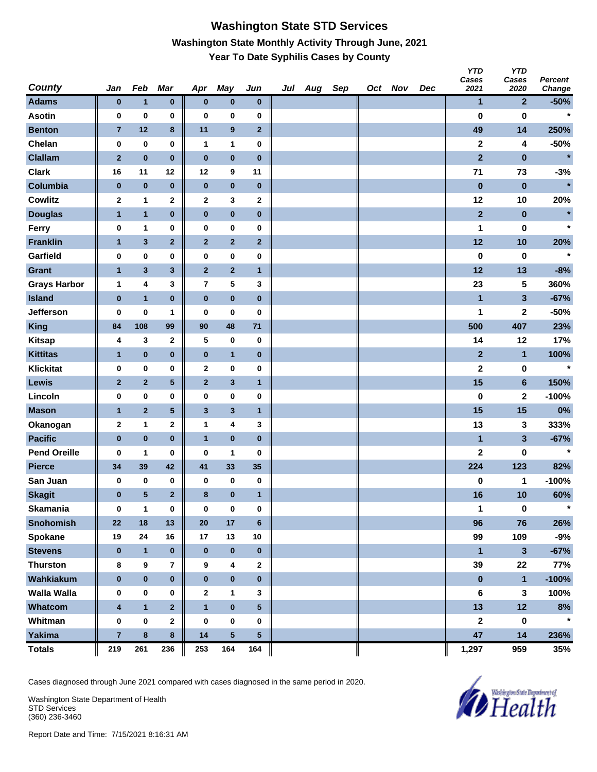#### **Washington State STD Services Washington State Monthly Activity Through June, 2021 Year To Date Syphilis Cases by County**

| <b>County</b>       | Jan                     | Feb              | Mar                     | Apr              | <b>May</b>              | Jun             | Jul | Aug | Sep | Oct Nov | Dec | <b>YTD</b><br>Cases<br>2021 | <b>YTD</b><br>Cases<br>2020 | Percent<br>Change |
|---------------------|-------------------------|------------------|-------------------------|------------------|-------------------------|-----------------|-----|-----|-----|---------|-----|-----------------------------|-----------------------------|-------------------|
| <b>Adams</b>        | $\bf{0}$                | $\mathbf{1}$     | $\bf{0}$                | $\bf{0}$         | $\bf{0}$                | $\bf{0}$        |     |     |     |         |     | 1                           | $\mathbf{2}$                | $-50%$            |
| <b>Asotin</b>       | 0                       | 0                | 0                       | 0                | 0                       | 0               |     |     |     |         |     | 0                           | 0                           | $\star$           |
| <b>Benton</b>       | $\overline{7}$          | 12               | 8                       | 11               | $\boldsymbol{9}$        | $\overline{2}$  |     |     |     |         |     | 49                          | 14                          | 250%              |
| Chelan              | $\pmb{0}$               | $\bf{0}$         | 0                       | $\mathbf{1}$     | 1                       | 0               |     |     |     |         |     | $\mathbf 2$                 | 4                           | $-50%$            |
| <b>Clallam</b>      | $\mathbf{2}$            | $\pmb{0}$        | $\bf{0}$                | $\bf{0}$         | $\pmb{0}$               | $\bf{0}$        |     |     |     |         |     | $\mathbf{2}$                | $\bf{0}$                    | $\star$           |
| <b>Clark</b>        | 16                      | 11               | 12                      | 12               | 9                       | 11              |     |     |     |         |     | 71                          | 73                          | $-3%$             |
| Columbia            | $\pmb{0}$               | $\pmb{0}$        | $\mathbf 0$             | $\bf{0}$         | $\pmb{0}$               | $\pmb{0}$       |     |     |     |         |     | $\pmb{0}$                   | $\pmb{0}$                   | $\ast$            |
| <b>Cowlitz</b>      | $\mathbf 2$             | 1                | $\mathbf 2$             | $\mathbf 2$      | 3                       | 2               |     |     |     |         |     | 12                          | 10                          | 20%               |
| <b>Douglas</b>      | $\mathbf{1}$            | $\mathbf{1}$     | $\bf{0}$                | $\bf{0}$         | $\bf{0}$                | 0               |     |     |     |         |     | $\mathbf{2}$                | $\pmb{0}$                   | $\star$           |
| Ferry               | 0                       | 1                | 0                       | 0                | 0                       | 0               |     |     |     |         |     | 1                           | 0                           | $\star$           |
| <b>Franklin</b>     | $\mathbf{1}$            | $\mathbf{3}$     | $\mathbf{2}$            | $\mathbf{2}$     | $\mathbf 2$             | $\mathbf{2}$    |     |     |     |         |     | 12                          | 10                          | 20%               |
| Garfield            | 0                       | 0                | 0                       | 0                | 0                       | 0               |     |     |     |         |     | 0                           | 0                           | $\star$           |
| <b>Grant</b>        | $\mathbf{1}$            | $\mathbf{3}$     | $\mathbf{3}$            | $\mathbf{2}$     | $\overline{2}$          | $\mathbf{1}$    |     |     |     |         |     | 12                          | 13                          | $-8%$             |
| <b>Grays Harbor</b> | $\mathbf{1}$            | 4                | 3                       | $\bf 7$          | ${\bf 5}$               | 3               |     |     |     |         |     | 23                          | 5                           | 360%              |
| <b>Island</b>       | $\pmb{0}$               | $\mathbf{1}$     | $\pmb{0}$               | $\pmb{0}$        | $\pmb{0}$               | $\bf{0}$        |     |     |     |         |     | $\mathbf{1}$                | $\mathbf{3}$                | $-67%$            |
| Jefferson           | 0                       | $\bf{0}$         | 1                       | 0                | 0                       | 0               |     |     |     |         |     | 1                           | $\mathbf 2$                 | $-50%$            |
| King                | 84                      | 108              | 99                      | 90               | 48                      | $71$            |     |     |     |         |     | 500                         | 407                         | 23%               |
| <b>Kitsap</b>       | 4                       | 3                | $\mathbf 2$             | 5                | 0                       | $\bf{0}$        |     |     |     |         |     | 14                          | 12                          | 17%               |
| <b>Kittitas</b>     | $\mathbf{1}$            | $\pmb{0}$        | $\bf{0}$                | $\pmb{0}$        | $\mathbf{1}$            | $\bf{0}$        |     |     |     |         |     | $\mathbf{2}$                | $\mathbf{1}$                | 100%              |
| <b>Klickitat</b>    | 0                       | 0                | 0                       | $\mathbf{2}$     | 0                       | 0               |     |     |     |         |     | $\mathbf 2$                 | 0                           | $\star$           |
| Lewis               | $\mathbf{2}$            | $\mathbf 2$      | 5                       | $\mathbf{2}$     | $\mathbf{3}$            | $\mathbf{1}$    |     |     |     |         |     | 15                          | $6\phantom{a}$              | 150%              |
| Lincoln             | 0                       | 0                | 0                       | $\bf{0}$         | 0                       | 0               |     |     |     |         |     | 0                           | 2                           | $-100%$           |
| <b>Mason</b>        | $\mathbf{1}$            | $\mathbf{2}$     | 5                       | $\mathbf{3}$     | $\mathbf{3}$            | $\mathbf{1}$    |     |     |     |         |     | 15                          | 15                          | 0%                |
| Okanogan            | $\mathbf{2}$            | 1                | $\mathbf{2}$            | $\mathbf 1$      | 4                       | 3               |     |     |     |         |     | 13                          | 3                           | 333%              |
| <b>Pacific</b>      | $\pmb{0}$               | $\pmb{0}$        | $\pmb{0}$               | $\mathbf{1}$     | $\pmb{0}$               | $\bf{0}$        |     |     |     |         |     | 1                           | $\mathbf{3}$                | $-67%$            |
| <b>Pend Oreille</b> | 0                       | 1                | 0                       | $\bf{0}$         | 1                       | 0               |     |     |     |         |     | $\mathbf 2$                 | $\bf{0}$                    | $\star$           |
| <b>Pierce</b>       | 34                      | 39               | 42                      | 41               | 33                      | 35              |     |     |     |         |     | 224                         | 123                         | 82%               |
| San Juan            | 0                       | 0                | 0                       | 0                | 0                       | $\bf{0}$        |     |     |     |         |     | 0                           | 1                           | $-100%$           |
| <b>Skagit</b>       | $\bf{0}$                | $5\phantom{.0}$  | $\overline{2}$          | 8                | $\pmb{0}$               | $\mathbf{1}$    |     |     |     |         |     | 16                          | 10                          | 60%               |
| <b>Skamania</b>     | $\pmb{0}$               | 1                | 0                       | $\pmb{0}$        | 0                       | 0               |     |     |     |         |     | 1                           | 0                           |                   |
| <b>Snohomish</b>    | 22                      | 18               | 13                      | ${\bf 20}$       | 17                      | $6\phantom{a}$  |     |     |     |         |     | 96                          | 76                          | 26%               |
| Spokane             | 19                      | ${\bf 24}$       | 16                      | 17               | 13                      | $10\,$          |     |     |     |         |     | 99                          | 109                         | -9%               |
| <b>Stevens</b>      | $\bf{0}$                | $\mathbf{1}$     | $\bf{0}$                | $\mathbf 0$      | $\pmb{0}$               | $\pmb{0}$       |     |     |     |         |     | $\mathbf{1}$                | $\overline{\mathbf{3}}$     | $-67%$            |
| <b>Thurston</b>     | 8                       | $\boldsymbol{9}$ | $\overline{\mathbf{r}}$ | $\boldsymbol{9}$ | 4                       | 2               |     |     |     |         |     | 39                          | 22                          | 77%               |
| Wahkiakum           | $\bf{0}$                | $\pmb{0}$        | $\bf{0}$                | $\mathbf 0$      | $\pmb{0}$               | $\bf{0}$        |     |     |     |         |     | $\pmb{0}$                   | $\mathbf{1}$                | $-100%$           |
| <b>Walla Walla</b>  | $\pmb{0}$               | $\pmb{0}$        | 0                       | $\boldsymbol{2}$ | $\mathbf{1}$            | 3               |     |     |     |         |     | $\bf 6$                     | $\mathbf{3}$                | 100%              |
| <b>Whatcom</b>      | 4                       | $\mathbf{1}$     | $\mathbf{2}$            | $\mathbf{1}$     | $\pmb{0}$               | $5\phantom{.0}$ |     |     |     |         |     | 13                          | 12                          | 8%                |
| Whitman             | $\pmb{0}$               | $\pmb{0}$        | $\mathbf 2$             | $\bf{0}$         | 0                       | 0               |     |     |     |         |     | $\mathbf{2}$                | $\pmb{0}$                   | $\star$           |
| <b>Yakima</b>       | $\overline{\mathbf{7}}$ | $\pmb{8}$        | 8                       | 14               | $\overline{\mathbf{5}}$ | $\sqrt{5}$      |     |     |     |         |     | 47                          | 14                          | 236%              |
| <b>Totals</b>       | 219                     | 261              | 236                     | 253              | 164                     | 164             |     |     |     |         |     | 1,297                       | 959                         | 35%               |

Cases diagnosed through June 2021 compared with cases diagnosed in the same period in 2020.

Washington State Department of Health STD Services (360) 236-3460

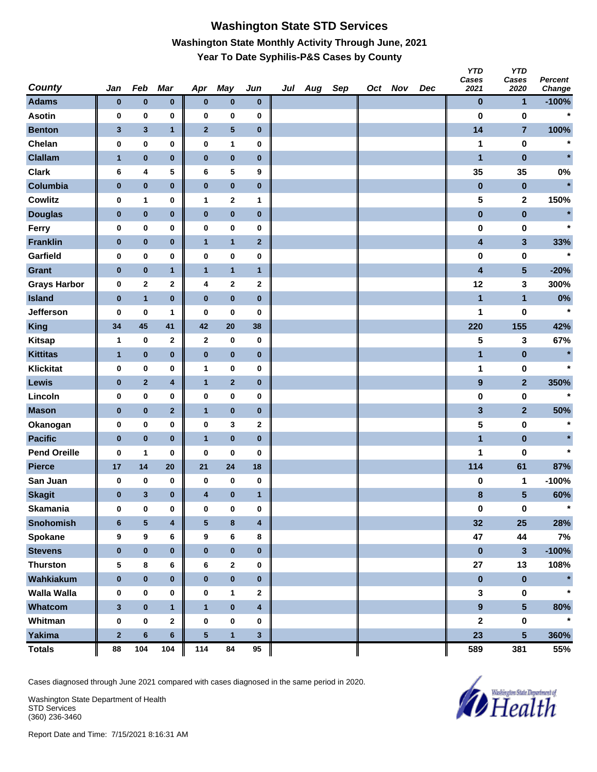# **Washington State STD Services Washington State Monthly Activity Through June, 2021 Year To Date Syphilis-P&S Cases by County**

| <b>County</b>       | Jan          | Feb          | Mar                     | Apr                     | May             | Jun                     | Jul Aug | Sep | Oct Nov | Dec | <b>YTD</b><br>Cases<br>2021 | <b>YTD</b><br>Cases<br>2020 | Percent<br>Change |
|---------------------|--------------|--------------|-------------------------|-------------------------|-----------------|-------------------------|---------|-----|---------|-----|-----------------------------|-----------------------------|-------------------|
| <b>Adams</b>        | $\pmb{0}$    | $\pmb{0}$    | $\bf{0}$                | $\pmb{0}$               | $\pmb{0}$       | $\mathbf 0$             |         |     |         |     | $\bf{0}$                    | $\mathbf{1}$                | $-100%$           |
| <b>Asotin</b>       | 0            | 0            | 0                       | 0                       | 0               | 0                       |         |     |         |     | $\bf{0}$                    | 0                           | $\star$           |
| <b>Benton</b>       | $\mathbf{3}$ | $\mathbf{3}$ | $\mathbf{1}$            | $\overline{2}$          | $5\phantom{.0}$ | $\bf{0}$                |         |     |         |     | 14                          | $\overline{7}$              | 100%              |
| Chelan              | 0            | 0            | 0                       | 0                       | 1               | $\bf{0}$                |         |     |         |     | 1                           | 0                           | $\star$           |
| <b>Clallam</b>      | $\mathbf{1}$ | $\bf{0}$     | $\pmb{0}$               | $\pmb{0}$               | $\pmb{0}$       | $\bf{0}$                |         |     |         |     | 1                           | $\pmb{0}$                   | $\star$           |
| <b>Clark</b>        | 6            | 4            | 5                       | 6                       | 5               | 9                       |         |     |         |     | 35                          | 35                          | 0%                |
| Columbia            | $\bf{0}$     | $\bf{0}$     | $\bf{0}$                | $\bf{0}$                | $\pmb{0}$       | $\bf{0}$                |         |     |         |     | $\pmb{0}$                   | $\bf{0}$                    | $\star$           |
| <b>Cowlitz</b>      | 0            | 1            | 0                       | $\mathbf{1}$            | $\mathbf 2$     | 1                       |         |     |         |     | 5                           | $\mathbf{2}$                | 150%              |
| <b>Douglas</b>      | $\pmb{0}$    | $\pmb{0}$    | $\pmb{0}$               | $\pmb{0}$               | $\bf{0}$        | $\bf{0}$                |         |     |         |     | $\pmb{0}$                   | $\pmb{0}$                   | $\star$           |
| Ferry               | 0            | $\bf{0}$     | 0                       | 0                       | 0               | $\pmb{0}$               |         |     |         |     | $\pmb{0}$                   | 0                           | $\star$           |
| <b>Franklin</b>     | $\pmb{0}$    | $\pmb{0}$    | $\pmb{0}$               | $\mathbf{1}$            | $\mathbf{1}$    | $\overline{2}$          |         |     |         |     | 4                           | $\mathbf{3}$                | 33%               |
| Garfield            | 0            | $\bf{0}$     | 0                       | 0                       | 0               | 0                       |         |     |         |     | 0                           | 0                           | $\star$           |
| <b>Grant</b>        | $\bf{0}$     | $\bf{0}$     | $\mathbf{1}$            | $\overline{1}$          | $\mathbf{1}$    | $\mathbf{1}$            |         |     |         |     | $\overline{\mathbf{4}}$     | $5\phantom{.0}$             | $-20%$            |
| <b>Grays Harbor</b> | 0            | $\bf{2}$     | 2                       | 4                       | $\mathbf{2}$    | $\mathbf{2}$            |         |     |         |     | 12                          | 3                           | 300%              |
| <b>Island</b>       | $\pmb{0}$    | $\mathbf{1}$ | $\bf{0}$                | $\pmb{0}$               | $\pmb{0}$       | $\bf{0}$                |         |     |         |     | 1                           | $\mathbf{1}$                | $0\%$             |
| Jefferson           | 0            | $\bf{0}$     | 1                       | $\bf{0}$                | 0               | $\bf{0}$                |         |     |         |     | 1                           | 0                           | $\star$           |
| <b>King</b>         | 34           | 45           | 41                      | 42                      | 20              | 38                      |         |     |         |     | 220                         | 155                         | 42%               |
| <b>Kitsap</b>       | $\mathbf 1$  | 0            | 2                       | $\mathbf{2}$            | 0               | $\bf{0}$                |         |     |         |     | 5                           | 3                           | 67%               |
| <b>Kittitas</b>     | $\mathbf{1}$ | $\pmb{0}$    | $\bf{0}$                | $\pmb{0}$               | $\bf{0}$        | $\bf{0}$                |         |     |         |     | $\mathbf{1}$                | $\pmb{0}$                   | $\star$           |
| <b>Klickitat</b>    | 0            | $\bf{0}$     | 0                       | $\mathbf{1}$            | 0               | 0                       |         |     |         |     | 1                           | 0                           | $\star$           |
| Lewis               | $\pmb{0}$    | $\mathbf 2$  | 4                       | $\mathbf{1}$            | $\mathbf{2}$    | $\bf{0}$                |         |     |         |     | $\boldsymbol{9}$            | $\overline{2}$              | 350%              |
| Lincoln             | 0            | $\bf{0}$     | 0                       | 0                       | 0               | 0                       |         |     |         |     | 0                           | 0                           | $\star$           |
| <b>Mason</b>        | $\bf{0}$     | $\bf{0}$     | $\overline{2}$          | $\overline{1}$          | $\bf{0}$        | $\bf{0}$                |         |     |         |     | $\overline{\mathbf{3}}$     | $\overline{2}$              | 50%               |
| Okanogan            | 0            | $\bf{0}$     | 0                       | 0                       | 3               | $\mathbf{2}$            |         |     |         |     | 5                           | 0                           | $\star$           |
| <b>Pacific</b>      | $\pmb{0}$    | $\bf{0}$     | $\bf{0}$                | $\overline{1}$          | $\pmb{0}$       | $\bf{0}$                |         |     |         |     | $\mathbf{1}$                | $\pmb{0}$                   | $\star$           |
| <b>Pend Oreille</b> | $\bf{0}$     | $\mathbf{1}$ | 0                       | $\bf{0}$                | 0               | $\bf{0}$                |         |     |         |     | 1                           | 0                           | $\star$           |
| <b>Pierce</b>       | 17           | 14           | 20                      | 21                      | 24              | 18                      |         |     |         |     | 114                         | 61                          | 87%               |
| San Juan            | 0            | 0            | 0                       | 0                       | 0               | $\bf{0}$                |         |     |         |     | 0                           | 1                           | $-100%$           |
| <b>Skagit</b>       | $\bf{0}$     | $\mathbf{3}$ | $\bf{0}$                | $\overline{\mathbf{4}}$ | $\bf{0}$        | $\mathbf{1}$            |         |     |         |     | 8                           | 5                           | 60%               |
| <b>Skamania</b>     | 0            | 0            | 0                       | $\bf{0}$                | 0               | $\bf{0}$                |         |     |         |     | $\pmb{0}$                   | $\mathbf 0$                 | $\star$           |
| <b>Snohomish</b>    | $\bf 6$      | $\sqrt{5}$   | $\overline{\mathbf{4}}$ | $\sqrt{5}$              | 8               | $\blacktriangleleft$    |         |     |         |     | 32                          | 25                          | 28%               |
| Spokane             | 9            | 9            | 6                       | 9                       | 6               | 8                       |         |     |         |     | 47                          | 44                          | 7%                |
| <b>Stevens</b>      | $\pmb{0}$    | $\pmb{0}$    | $\bf{0}$                | $\pmb{0}$               | $\pmb{0}$       | $\bf{0}$                |         |     |         |     | $\pmb{0}$                   | $\mathbf{3}$                | $-100%$           |
| <b>Thurston</b>     | 5            | 8            | 6                       | 6                       | $\mathbf{2}$    | $\bf{0}$                |         |     |         |     | 27                          | 13                          | 108%              |
| Wahkiakum           | $\pmb{0}$    | $\pmb{0}$    | $\pmb{0}$               | $\pmb{0}$               | $\pmb{0}$       | $\mathbf 0$             |         |     |         |     | $\pmb{0}$                   | $\pmb{0}$                   |                   |
| <b>Walla Walla</b>  | 0            | $\pmb{0}$    | 0                       | 0                       | 1               | $\mathbf{2}$            |         |     |         |     | $\mathbf 3$                 | $\mathbf 0$                 |                   |
| Whatcom             | $\mathbf{3}$ | $\pmb{0}$    | $\mathbf{1}$            | $\mathbf{1}$            | $\pmb{0}$       | $\overline{\mathbf{4}}$ |         |     |         |     | $\overline{9}$              | $5\phantom{a}$              | 80%               |
| Whitman             | $\pmb{0}$    | $\pmb{0}$    | $\mathbf{2}$            | $\pmb{0}$               | 0               | $\bf{0}$                |         |     |         |     | $\mathbf 2$                 | $\pmb{0}$                   | $\star$           |
| Yakima              | $\mathbf 2$  | $\bf 6$      | $\bf 6$                 | ${\bf 5}$               | $\mathbf{1}$    | $\mathbf{3}$            |         |     |         |     | 23                          | 5 <sup>5</sup>              | 360%              |
| <b>Totals</b>       | 88           | 104          | 104                     | 114                     | 84              | 95                      |         |     |         |     | 589                         | 381                         | 55%               |

Cases diagnosed through June 2021 compared with cases diagnosed in the same period in 2020.

Washington State Department of Health STD Services (360) 236-3460

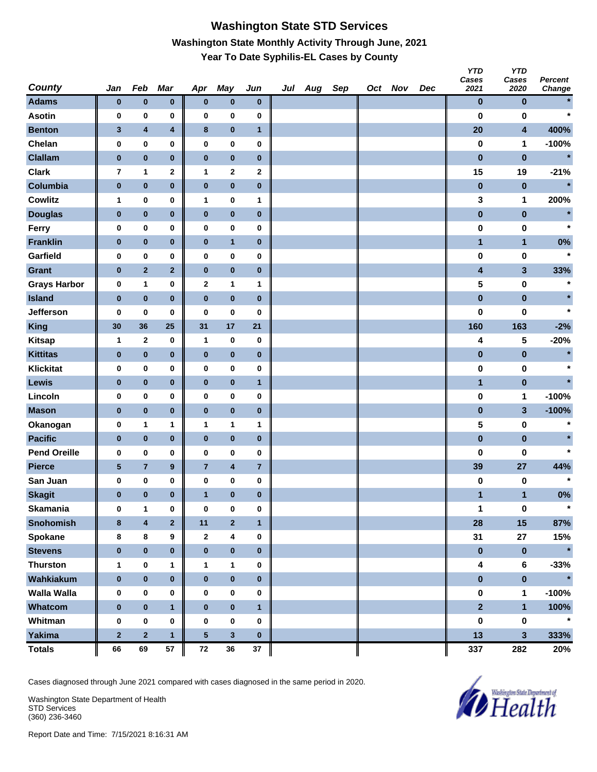## **Washington State STD Services Washington State Monthly Activity Through June, 2021 Year To Date Syphilis-EL Cases by County**

| <b>County</b>       | Jan          | Feb                     | Mar                     | Apr              | May                     | Jun                     | Jul Aug | Sep | Oct Nov | Dec | <b>YTD</b><br>Cases<br>2021 | <b>YTD</b><br>Cases<br>2020 | Percent<br>Change |
|---------------------|--------------|-------------------------|-------------------------|------------------|-------------------------|-------------------------|---------|-----|---------|-----|-----------------------------|-----------------------------|-------------------|
| <b>Adams</b>        | $\bf{0}$     | $\pmb{0}$               | $\pmb{0}$               | $\bf{0}$         | $\pmb{0}$               | $\bf{0}$                |         |     |         |     | $\pmb{0}$                   | $\bf{0}$                    |                   |
| <b>Asotin</b>       | 0            | 0                       | 0                       | $\bf{0}$         | 0                       | 0                       |         |     |         |     | $\bf{0}$                    | $\bf{0}$                    | $\star$           |
| <b>Benton</b>       | 3            | $\overline{\mathbf{4}}$ | $\overline{\mathbf{4}}$ | $\bf8$           | $\pmb{0}$               | $\mathbf{1}$            |         |     |         |     | 20                          | $\overline{\mathbf{4}}$     | 400%              |
| Chelan              | $\pmb{0}$    | 0                       | 0                       | $\bf{0}$         | 0                       | $\pmb{0}$               |         |     |         |     | $\pmb{0}$                   | 1                           | $-100%$           |
| <b>Clallam</b>      | $\bf{0}$     | $\pmb{0}$               | $\pmb{0}$               | $\pmb{0}$        | $\pmb{0}$               | $\bf{0}$                |         |     |         |     | $\pmb{0}$                   | $\pmb{0}$                   | $\star$           |
| <b>Clark</b>        | 7            | 1                       | $\mathbf 2$             | $\mathbf{1}$     | $\mathbf{2}$            | 2                       |         |     |         |     | 15                          | 19                          | $-21%$            |
| Columbia            | $\pmb{0}$    | $\pmb{0}$               | $\pmb{0}$               | $\pmb{0}$        | $\pmb{0}$               | $\pmb{0}$               |         |     |         |     | $\pmb{0}$                   | $\bf{0}$                    | $\star$           |
| <b>Cowlitz</b>      | 1            | 0                       | 0                       | $\mathbf{1}$     | 0                       | 1                       |         |     |         |     | 3                           | 1                           | 200%              |
| <b>Douglas</b>      | $\pmb{0}$    | $\pmb{0}$               | $\pmb{0}$               | $\pmb{0}$        | $\pmb{0}$               | $\bf{0}$                |         |     |         |     | $\pmb{0}$                   | $\pmb{0}$                   | $\star$           |
| Ferry               | 0            | $\pmb{0}$               | 0                       | $\bf{0}$         | 0                       | 0                       |         |     |         |     | 0                           | 0                           | $\star$           |
| <b>Franklin</b>     | $\pmb{0}$    | $\pmb{0}$               | $\pmb{0}$               | $\bf{0}$         | $\mathbf{1}$            | $\bf{0}$                |         |     |         |     | $\mathbf{1}$                | $\mathbf{1}$                | 0%                |
| Garfield            | 0            | $\pmb{0}$               | 0                       | $\bf{0}$         | 0                       | 0                       |         |     |         |     | $\bf{0}$                    | $\bf{0}$                    | $\star$           |
| <b>Grant</b>        | $\pmb{0}$    | $\mathbf 2$             | $\mathbf{2}$            | $\pmb{0}$        | $\pmb{0}$               | 0                       |         |     |         |     | $\overline{\mathbf{4}}$     | $\mathbf{3}$                | 33%               |
| <b>Grays Harbor</b> | $\pmb{0}$    | 1                       | 0                       | $\boldsymbol{2}$ | 1                       | 1                       |         |     |         |     | 5                           | $\pmb{0}$                   | $\ast$            |
| <b>Island</b>       | $\bf{0}$     | $\pmb{0}$               | $\pmb{0}$               | $\pmb{0}$        | $\pmb{0}$               | $\bf{0}$                |         |     |         |     | $\pmb{0}$                   | $\pmb{0}$                   | $\star$           |
| <b>Jefferson</b>    | 0            | $\bf{0}$                | 0                       | 0                | 0                       | 0                       |         |     |         |     | $\bf{0}$                    | $\bf{0}$                    | $\star$           |
| <b>King</b>         | 30           | 36                      | 25                      | 31               | 17                      | 21                      |         |     |         |     | 160                         | 163                         | $-2%$             |
| <b>Kitsap</b>       | 1            | $\mathbf{2}$            | 0                       | $\mathbf{1}$     | 0                       | $\bf{0}$                |         |     |         |     | 4                           | 5                           | $-20%$            |
| <b>Kittitas</b>     | $\pmb{0}$    | $\pmb{0}$               | $\pmb{0}$               | $\pmb{0}$        | $\pmb{0}$               | $\bf{0}$                |         |     |         |     | $\pmb{0}$                   | $\pmb{0}$                   | $\star$           |
| <b>Klickitat</b>    | 0            | $\pmb{0}$               | 0                       | $\bf{0}$         | 0                       | 0                       |         |     |         |     | 0                           | 0                           | $\star$           |
| Lewis               | $\bf{0}$     | $\pmb{0}$               | $\pmb{0}$               | $\bf{0}$         | $\pmb{0}$               | $\mathbf{1}$            |         |     |         |     | $\mathbf{1}$                | $\pmb{0}$                   | $\star$           |
| Lincoln             | 0            | 0                       | 0                       | $\bf{0}$         | 0                       | 0                       |         |     |         |     | $\bf{0}$                    | 1                           | $-100%$           |
| <b>Mason</b>        | $\bf{0}$     | $\pmb{0}$               | $\pmb{0}$               | $\pmb{0}$        | $\pmb{0}$               | 0                       |         |     |         |     | $\pmb{0}$                   | $\mathbf{3}$                | $-100%$           |
| Okanogan            | 0            | 1                       | 1                       | 1                | 1                       | 1                       |         |     |         |     | 5                           | $\pmb{0}$                   | $\ast$            |
| <b>Pacific</b>      | $\pmb{0}$    | $\pmb{0}$               | $\pmb{0}$               | $\pmb{0}$        | $\pmb{0}$               | $\bf{0}$                |         |     |         |     | $\pmb{0}$                   | $\pmb{0}$                   | $\star$           |
| <b>Pend Oreille</b> | 0            | 0                       | 0                       | 0                | 0                       | 0                       |         |     |         |     | 0                           | 0                           | $\star$           |
| <b>Pierce</b>       | $\sqrt{5}$   | $\overline{7}$          | $\boldsymbol{9}$        | $\overline{7}$   | $\overline{\mathbf{4}}$ | $\overline{\mathbf{r}}$ |         |     |         |     | 39                          | 27                          | 44%               |
| San Juan            | 0            | 0                       | 0                       | 0                | 0                       | 0                       |         |     |         |     | 0                           | 0                           | $\star$           |
| <b>Skagit</b>       | 0            | $\bf{0}$                | $\bf{0}$                | 1                | $\pmb{0}$               | $\bf{0}$                |         |     |         |     | 1                           | 1                           | 0%                |
| <b>Skamania</b>     | $\bf{0}$     | $\mathbf{1}$            | 0                       | $\bf{0}$         | $\pmb{0}$               | 0                       |         |     |         |     | 1                           | $\pmb{0}$                   | $\star$           |
| <b>Snohomish</b>    | $\bf{8}$     | $\overline{\mathbf{4}}$ | $\overline{\mathbf{2}}$ | 11               | $\overline{\mathbf{2}}$ | $\mathbf{1}$            |         |     |         |     | 28                          | 15                          | 87%               |
| Spokane             | 8            | 8                       | 9                       | $\mathbf{2}$     | 4                       | $\bf{0}$                |         |     |         |     | 31                          | 27                          | 15%               |
| <b>Stevens</b>      | $\bf{0}$     | $\pmb{0}$               | $\pmb{0}$               | $\pmb{0}$        | $\pmb{0}$               | $\bf{0}$                |         |     |         |     | $\pmb{0}$                   | $\pmb{0}$                   | $\star$           |
| <b>Thurston</b>     | $\mathbf{1}$ | $\pmb{0}$               | 1                       | $\mathbf{1}$     | $\mathbf{1}$            | 0                       |         |     |         |     | 4                           | $\bf 6$                     | $-33%$            |
| Wahkiakum           | $\pmb{0}$    | $\pmb{0}$               | $\pmb{0}$               | $\pmb{0}$        | $\pmb{0}$               | $\pmb{0}$               |         |     |         |     | $\pmb{0}$                   | $\pmb{0}$                   | $\star$           |
| <b>Walla Walla</b>  | 0            | 0                       | 0                       | 0                | 0                       | 0                       |         |     |         |     | $\pmb{0}$                   | 1                           | $-100%$           |
| Whatcom             | $\pmb{0}$    | $\pmb{0}$               | $\mathbf{1}$            | $\pmb{0}$        | $\pmb{0}$               | $\mathbf{1}$            |         |     |         |     | $\overline{2}$              | $\mathbf{1}$                | 100%              |
| Whitman             | $\pmb{0}$    | $\pmb{0}$               | 0                       | $\bf{0}$         | 0                       | $\pmb{0}$               |         |     |         |     | $\pmb{0}$                   | $\pmb{0}$                   | $\star$           |
| <b>Yakima</b>       | $\mathbf{2}$ | $\mathbf 2$             | $\mathbf{1}$            | ${\bf 5}$        | $\mathbf{3}$            | $\bf{0}$                |         |     |         |     | 13                          | 3                           | 333%              |
| <b>Totals</b>       | 66           | 69                      | ${\bf 57}$              | ${\bf 72}$       | 36                      | 37                      |         |     |         |     | 337                         | 282                         | 20%               |

Cases diagnosed through June 2021 compared with cases diagnosed in the same period in 2020.

Washington State Department of Health STD Services (360) 236-3460

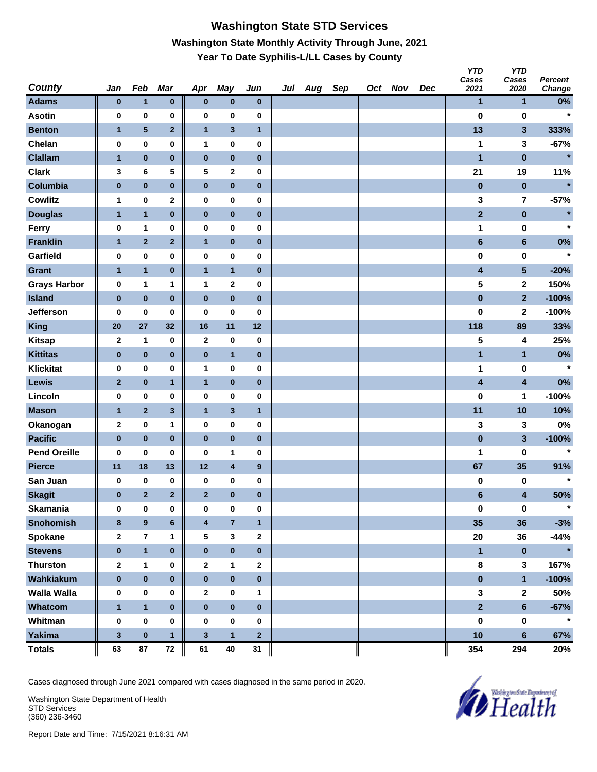## **Washington State STD Services Washington State Monthly Activity Through June, 2021 Year To Date Syphilis-L/LL Cases by County**

| <b>County</b>       | Jan              | Feb            | Mar            | Apr                     | May                     | Jun          | Jul Aug | Sep | Oct Nov | Dec | <b>YTD</b><br>Cases<br>2021 | <b>YTD</b><br>Cases<br>2020 | Percent<br>Change |
|---------------------|------------------|----------------|----------------|-------------------------|-------------------------|--------------|---------|-----|---------|-----|-----------------------------|-----------------------------|-------------------|
| <b>Adams</b>        | $\bf{0}$         | $\mathbf{1}$   | $\pmb{0}$      | $\bf{0}$                | $\pmb{0}$               | $\bf{0}$     |         |     |         |     | 1                           | 1                           | $0\%$             |
| <b>Asotin</b>       | 0                | 0              | 0              | $\bf{0}$                | 0                       | 0            |         |     |         |     | $\bf{0}$                    | $\bf{0}$                    | $\star$           |
| <b>Benton</b>       | $\mathbf{1}$     | ${\bf 5}$      | $\mathbf{2}$   | $\mathbf{1}$            | $\mathbf{3}$            | $\mathbf{1}$ |         |     |         |     | 13                          | $\mathbf{3}$                | 333%              |
| Chelan              | $\pmb{0}$        | $\pmb{0}$      | 0              | 1                       | 0                       | $\pmb{0}$    |         |     |         |     | 1                           | 3                           | $-67%$            |
| <b>Clallam</b>      | $\mathbf{1}$     | $\pmb{0}$      | $\pmb{0}$      | $\pmb{0}$               | $\pmb{0}$               | $\bf{0}$     |         |     |         |     | $\mathbf{1}$                | $\pmb{0}$                   | $\ast$            |
| <b>Clark</b>        | 3                | 6              | 5              | 5                       | 2                       | 0            |         |     |         |     | 21                          | 19                          | 11%               |
| Columbia            | $\pmb{0}$        | $\pmb{0}$      | $\pmb{0}$      | $\pmb{0}$               | $\pmb{0}$               | $\pmb{0}$    |         |     |         |     | $\pmb{0}$                   | $\pmb{0}$                   | $\star$           |
| <b>Cowlitz</b>      | 1                | 0              | $\mathbf 2$    | $\bf{0}$                | 0                       | 0            |         |     |         |     | 3                           | 7                           | $-57%$            |
| <b>Douglas</b>      | $\mathbf{1}$     | $\mathbf{1}$   | $\pmb{0}$      | $\pmb{0}$               | $\pmb{0}$               | $\bf{0}$     |         |     |         |     | $\mathbf{2}$                | $\pmb{0}$                   | $\star$           |
| Ferry               | 0                | 1              | 0              | $\pmb{0}$               | 0                       | 0            |         |     |         |     | 1                           | 0                           | $\star$           |
| <b>Franklin</b>     | $\mathbf{1}$     | $\mathbf 2$    | $\mathbf 2$    | $\mathbf{1}$            | $\pmb{0}$               | $\bf{0}$     |         |     |         |     | $\bf 6$                     | $\bf 6$                     | 0%                |
| Garfield            | 0                | $\pmb{0}$      | 0              | $\bf{0}$                | 0                       | 0            |         |     |         |     | $\bf{0}$                    | 0                           | $\star$           |
| <b>Grant</b>        | $\mathbf{1}$     | $\mathbf{1}$   | $\pmb{0}$      | $\mathbf{1}$            | $\mathbf{1}$            | 0            |         |     |         |     | $\overline{\mathbf{4}}$     | 5                           | $-20%$            |
| <b>Grays Harbor</b> | 0                | 1              | 1              | 1                       | $\bf{2}$                | 0            |         |     |         |     | 5                           | $\mathbf{2}$                | 150%              |
| <b>Island</b>       | $\pmb{0}$        | $\pmb{0}$      | $\pmb{0}$      | $\pmb{0}$               | $\pmb{0}$               | $\bf{0}$     |         |     |         |     | $\pmb{0}$                   | $\overline{\mathbf{2}}$     | $-100%$           |
| Jefferson           | 0                | $\bf{0}$       | 0              | 0                       | 0                       | 0            |         |     |         |     | $\bf{0}$                    | 2                           | $-100%$           |
| <b>King</b>         | 20               | 27             | 32             | 16                      | 11                      | $12$         |         |     |         |     | 118                         | 89                          | 33%               |
| <b>Kitsap</b>       | $\mathbf 2$      | 1              | 0              | $\mathbf{2}$            | 0                       | $\bf{0}$     |         |     |         |     | 5                           | 4                           | 25%               |
| <b>Kittitas</b>     | $\pmb{0}$        | $\pmb{0}$      | $\pmb{0}$      | $\pmb{0}$               | $\mathbf{1}$            | $\bf{0}$     |         |     |         |     | $\mathbf{1}$                | $\mathbf{1}$                | 0%                |
| <b>Klickitat</b>    | 0                | $\pmb{0}$      | 0              | $\mathbf{1}$            | 0                       | 0            |         |     |         |     | 1                           | $\pmb{0}$                   | $\star$           |
| Lewis               | $\mathbf{2}$     | $\pmb{0}$      | $\mathbf{1}$   | $\mathbf{1}$            | $\pmb{0}$               | $\bf{0}$     |         |     |         |     | 4                           | 4                           | 0%                |
| Lincoln             | 0                | $\pmb{0}$      | 0              | $\bf{0}$                | 0                       | 0            |         |     |         |     | $\bf{0}$                    | 1                           | $-100%$           |
| <b>Mason</b>        | $\mathbf{1}$     | $\mathbf 2$    | $\mathbf{3}$   | $\mathbf{1}$            | $\mathbf{3}$            | $\mathbf{1}$ |         |     |         |     | 11                          | 10                          | 10%               |
| Okanogan            | $\boldsymbol{2}$ | $\pmb{0}$      | 1              | $\bf{0}$                | 0                       | 0            |         |     |         |     | 3                           | 3                           | 0%                |
| <b>Pacific</b>      | $\bf{0}$         | $\pmb{0}$      | $\pmb{0}$      | $\pmb{0}$               | $\pmb{0}$               | $\bf{0}$     |         |     |         |     | $\pmb{0}$                   | $\mathbf{3}$                | $-100%$           |
| <b>Pend Oreille</b> | 0                | $\bf{0}$       | 0              | 0                       | 1                       | 0            |         |     |         |     | 1                           | 0                           | $\star$           |
| <b>Pierce</b>       | 11               | 18             | 13             | 12                      | $\overline{\mathbf{4}}$ | $\pmb{9}$    |         |     |         |     | 67                          | 35                          | 91%               |
| San Juan            | 0                | $\bf{0}$       | 0              | 0                       | 0                       | 0            |         |     |         |     | 0                           | 0                           | $\star$           |
| <b>Skagit</b>       | 0                | $\overline{2}$ | $\overline{2}$ | $\mathbf{2}$            | $\pmb{0}$               | $\bf{0}$     |         |     |         |     | $6\phantom{1}$              | 4                           | 50%               |
| <b>Skamania</b>     | $\bf{0}$         | $\mathbf 0$    | 0              | $\mathbf 0$             | 0                       | 0            |         |     |         |     | $\pmb{0}$                   | $\pmb{0}$                   | $\star$           |
| <b>Snohomish</b>    | $\bf{8}$         | $\pmb{9}$      | $\bf 6$        | $\overline{\mathbf{4}}$ | $\overline{7}$          | $\mathbf{1}$ |         |     |         |     | 35                          | 36                          | $-3%$             |
| Spokane             | $\mathbf{2}$     | $\overline{7}$ | 1              | 5                       | 3                       | $\mathbf{2}$ |         |     |         |     | 20                          | 36                          | $-44%$            |
| <b>Stevens</b>      | $\pmb{0}$        | $\mathbf{1}$   | $\pmb{0}$      | $\pmb{0}$               | $\pmb{0}$               | $\bf{0}$     |         |     |         |     | $\mathbf{1}$                | $\pmb{0}$                   | $\star$           |
| <b>Thurston</b>     | $\mathbf{2}$     | $\mathbf{1}$   | 0              | $\mathbf 2$             | $\mathbf{1}$            | 2            |         |     |         |     | $\bf8$                      | $\mathbf{3}$                | 167%              |
| Wahkiakum           | $\pmb{0}$        | $\pmb{0}$      | $\pmb{0}$      | $\pmb{0}$               | $\pmb{0}$               | $\pmb{0}$    |         |     |         |     | $\pmb{0}$                   | $\mathbf{1}$                | $-100%$           |
| <b>Walla Walla</b>  | 0                | 0              | 0              | $\overline{\mathbf{2}}$ | 0                       | 1            |         |     |         |     | 3                           | $\boldsymbol{2}$            | 50%               |
| Whatcom             | $\mathbf{1}$     | $\mathbf{1}$   | $\pmb{0}$      | $\pmb{0}$               | $\pmb{0}$               | $\pmb{0}$    |         |     |         |     | $\overline{2}$              | $6\phantom{a}$              | $-67%$            |
| Whitman             | $\pmb{0}$        | $\mathbf 0$    | 0              | $\bf{0}$                | 0                       | 0            |         |     |         |     | $\pmb{0}$                   | $\pmb{0}$                   | $\star$           |
| <b>Yakima</b>       | $\mathbf{3}$     | $\mathbf 0$    | $\mathbf{1}$   | $\mathbf{3}$            | $\mathbf{1}$            | $\mathbf{2}$ |         |     |         |     | 10                          | $6\phantom{a}$              | 67%               |
| <b>Totals</b>       | 63               | 87             | ${\bf 72}$     | 61                      | 40                      | 31           |         |     |         |     | 354                         | 294                         | 20%               |

Cases diagnosed through June 2021 compared with cases diagnosed in the same period in 2020.

Washington State Department of Health STD Services (360) 236-3460